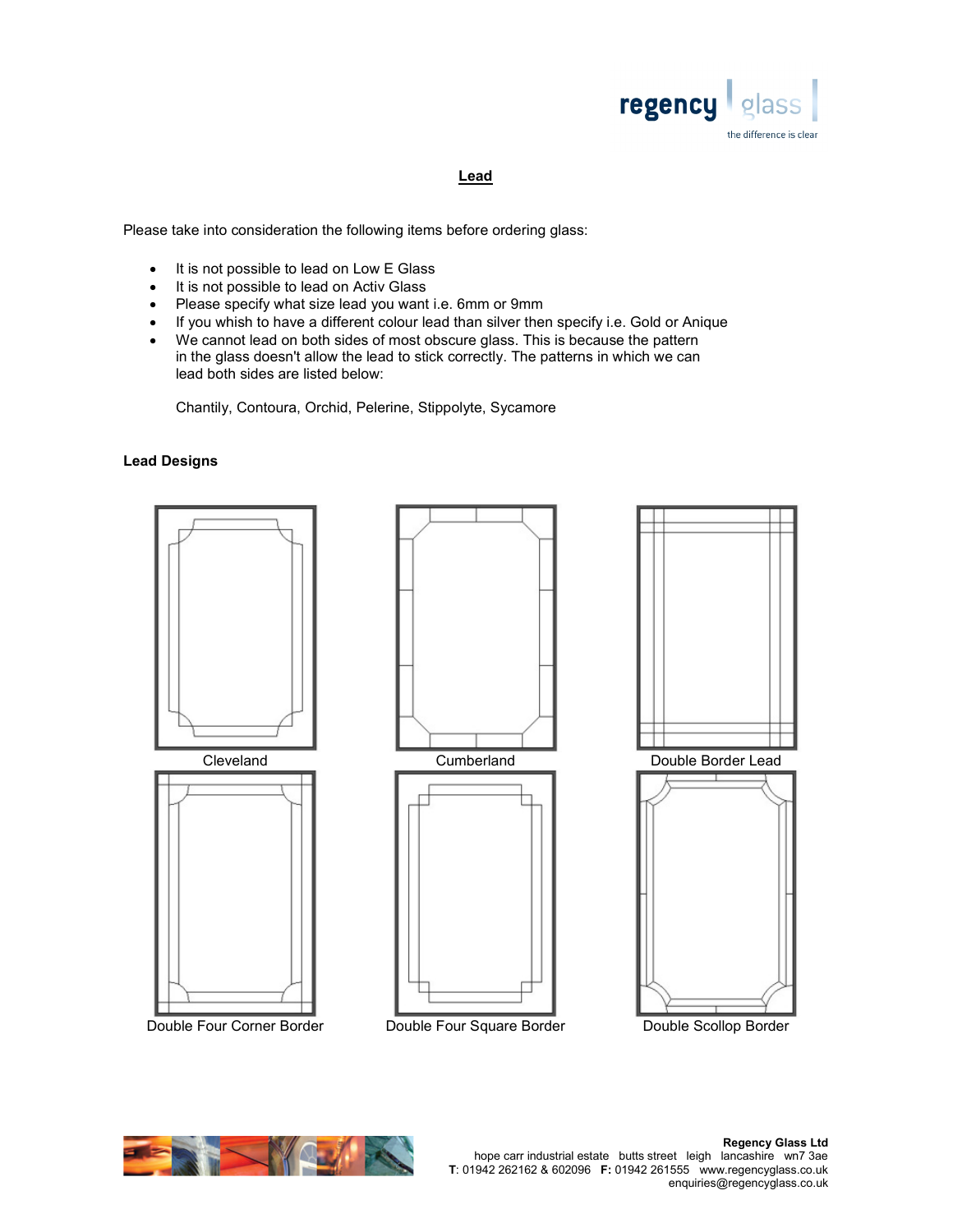

## Lead

Please take into consideration the following items before ordering glass:

- It is not possible to lead on Low E Glass
- It is not possible to lead on Activ Glass
- Please specify what size lead you want i.e. 6mm or 9mm
- If you whish to have a different colour lead than silver then specify i.e. Gold or Anique
- We cannot lead on both sides of most obscure glass. This is because the pattern in the glass doesn't allow the lead to stick correctly. The patterns in which we can lead both sides are listed below:

Chantily, Contoura, Orchid, Pelerine, Stippolyte, Sycamore

## Lead Designs